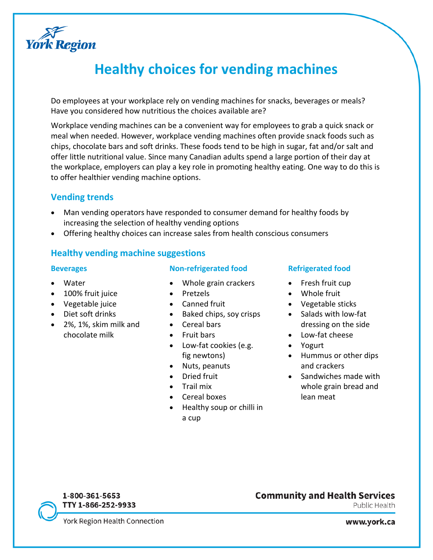

# **Healthy choices for vending machines**

Do employees at your workplace rely on vending machines for snacks, beverages or meals? Have you considered how nutritious the choices available are?

Workplace vending machines can be a convenient way for employees to grab a quick snack or meal when needed. However, workplace vending machines often provide snack foods such as chips, chocolate bars and soft drinks. These foods tend to be high in sugar, fat and/or salt and offer little nutritional value. Since many Canadian adults spend a large portion of their day at the workplace, employers can play a key role in promoting healthy eating. One way to do this is to offer healthier vending machine options.

### **Vending trends**

- Man vending operators have responded to consumer demand for healthy foods by increasing the selection of healthy vending options
- Offering healthy choices can increase sales from health conscious consumers

#### **Healthy vending machine suggestions**

#### **Beverages**

- Water
- 100% fruit juice
- Vegetable juice
- Diet soft drinks
- 2%, 1%, skim milk and chocolate milk

#### **Non-refrigerated food**

- Whole grain crackers
- Pretzels
- Canned fruit
- Baked chips, soy crisps
- Cereal bars
- Fruit bars
- Low-fat cookies (e.g. fig newtons)
- Nuts, peanuts
- Dried fruit
- Trail mix
- Cereal boxes
- Healthy soup or chilli in a cup

#### **Refrigerated food**

- Fresh fruit cup
- Whole fruit
- Vegetable sticks
- Salads with low-fat dressing on the side
- Low-fat cheese
- Yogurt
- Hummus or other dips and crackers
- Sandwiches made with whole grain bread and lean meat



Public Health

York Region Health Connection

1-800-361-5653 TTY 1-866-252-9933